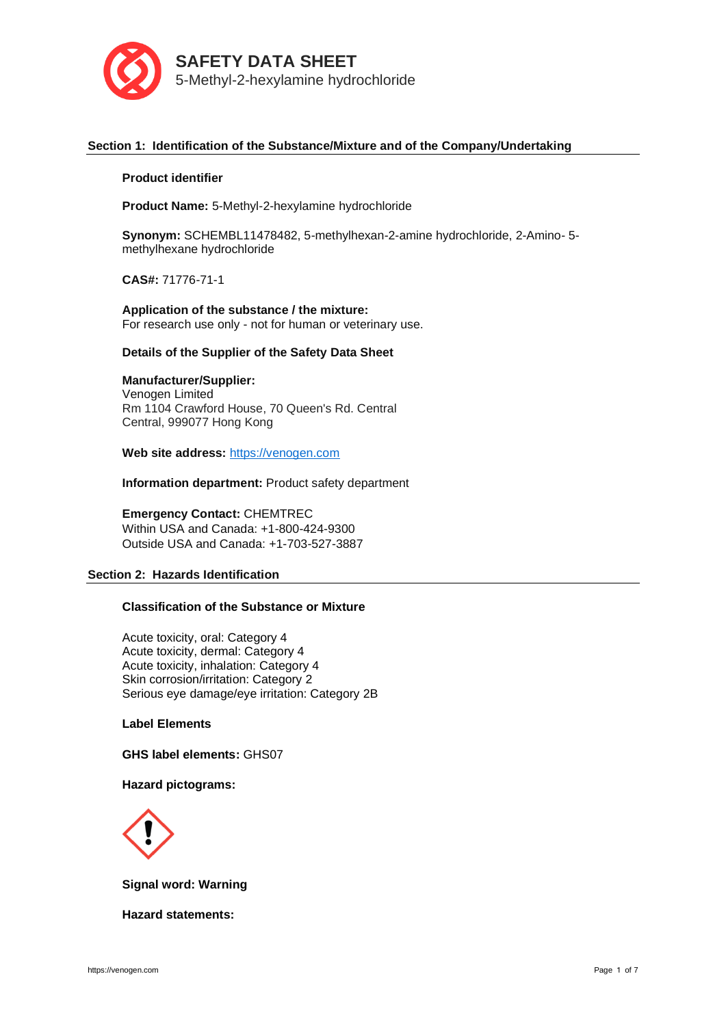

# **Section 1: Identification of the Substance/Mixture and of the Company/Undertaking**

### **Product identifier**

**Product Name:** 5-Methyl-2-hexylamine hydrochloride

**Synonym:** SCHEMBL11478482, 5-methylhexan-2-amine hydrochloride, 2-Amino- 5 methylhexane hydrochloride

**CAS#:** 71776-71-1

**Application of the substance / the mixture:** For research use only - not for human or veterinary use.

### **Details of the Supplier of the Safety Data Sheet**

# **Manufacturer/Supplier:**

Venogen Limited Rm 1104 Crawford House, 70 Queen's Rd. Central Central, 999077 Hong Kong

**Web site address:** [https://venogen.com](https://venogen.com/)

**Information department:** Product safety department

# **Emergency Contact:** CHEMTREC

Within USA and Canada: +1-800-424-9300 Outside USA and Canada: +1-703-527-3887

# **Section 2: Hazards Identification**

# **Classification of the Substance or Mixture**

Acute toxicity, oral: Category 4 Acute toxicity, dermal: Category 4 Acute toxicity, inhalation: Category 4 Skin corrosion/irritation: Category 2 Serious eye damage/eye irritation: Category 2B

### **Label Elements**

**GHS label elements:** GHS07

#### **Hazard pictograms:**



**Signal word: Warning**

**Hazard statements:**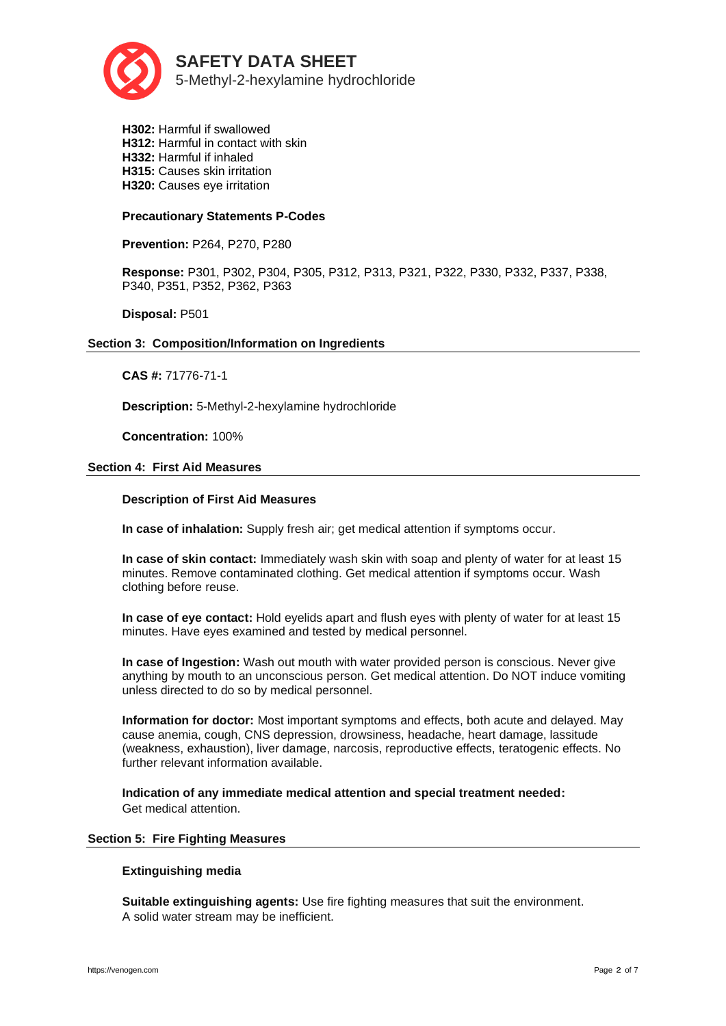

**H302:** Harmful if swallowed **H312:** Harmful in contact with skin **H332:** Harmful if inhaled **H315:** Causes skin irritation **H320:** Causes eye irritation

# **Precautionary Statements P-Codes**

**Prevention:** P264, P270, P280

**Response:** P301, P302, P304, P305, P312, P313, P321, P322, P330, P332, P337, P338, P340, P351, P352, P362, P363

**Disposal:** P501

#### **Section 3: Composition/Information on Ingredients**

**CAS #:** 71776-71-1

**Description:** 5-Methyl-2-hexylamine hydrochloride

**Concentration:** 100%

### **Section 4: First Aid Measures**

# **Description of First Aid Measures**

**In case of inhalation:** Supply fresh air; get medical attention if symptoms occur.

**In case of skin contact:** Immediately wash skin with soap and plenty of water for at least 15 minutes. Remove contaminated clothing. Get medical attention if symptoms occur. Wash clothing before reuse.

**In case of eye contact:** Hold eyelids apart and flush eyes with plenty of water for at least 15 minutes. Have eyes examined and tested by medical personnel.

**In case of Ingestion:** Wash out mouth with water provided person is conscious. Never give anything by mouth to an unconscious person. Get medical attention. Do NOT induce vomiting unless directed to do so by medical personnel.

**Information for doctor:** Most important symptoms and effects, both acute and delayed. May cause anemia, cough, CNS depression, drowsiness, headache, heart damage, lassitude (weakness, exhaustion), liver damage, narcosis, reproductive effects, teratogenic effects. No further relevant information available.

**Indication of any immediate medical attention and special treatment needed:**  Get medical attention.

### **Section 5: Fire Fighting Measures**

# **Extinguishing media**

**Suitable extinguishing agents:** Use fire fighting measures that suit the environment. A solid water stream may be inefficient.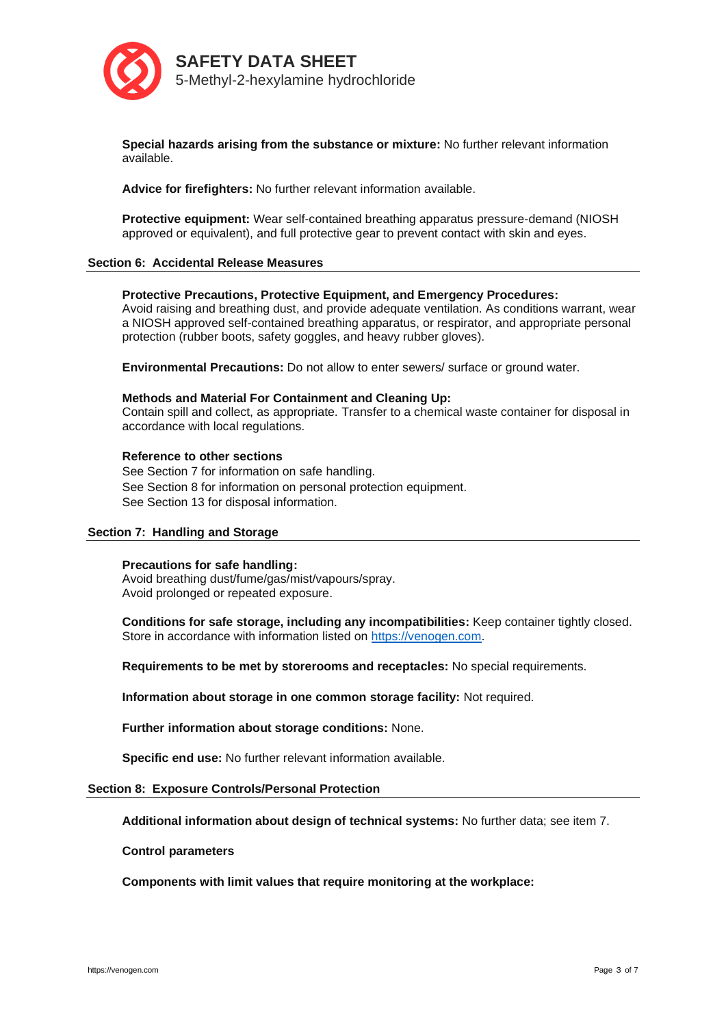

**Special hazards arising from the substance or mixture:** No further relevant information available.

**Advice for firefighters:** No further relevant information available.

**Protective equipment:** Wear self-contained breathing apparatus pressure-demand (NIOSH approved or equivalent), and full protective gear to prevent contact with skin and eyes.

### **Section 6: Accidental Release Measures**

### **Protective Precautions, Protective Equipment, and Emergency Procedures:**

Avoid raising and breathing dust, and provide adequate ventilation. As conditions warrant, wear a NIOSH approved self-contained breathing apparatus, or respirator, and appropriate personal protection (rubber boots, safety goggles, and heavy rubber gloves).

**Environmental Precautions:** Do not allow to enter sewers/ surface or ground water.

#### **Methods and Material For Containment and Cleaning Up:**

Contain spill and collect, as appropriate. Transfer to a chemical waste container for disposal in accordance with local regulations.

### **Reference to other sections**

See Section 7 for information on safe handling. See Section 8 for information on personal protection equipment. See Section 13 for disposal information.

# **Section 7: Handling and Storage**

#### **Precautions for safe handling:**

Avoid breathing dust/fume/gas/mist/vapours/spray. Avoid prolonged or repeated exposure.

**Conditions for safe storage, including any incompatibilities:** Keep container tightly closed. Store in accordance with information listed on [https://venogen.com.](https://venogen.com/)

**Requirements to be met by storerooms and receptacles:** No special requirements.

**Information about storage in one common storage facility:** Not required.

**Further information about storage conditions:** None.

**Specific end use:** No further relevant information available.

#### **Section 8: Exposure Controls/Personal Protection**

**Additional information about design of technical systems:** No further data; see item 7.

### **Control parameters**

**Components with limit values that require monitoring at the workplace:**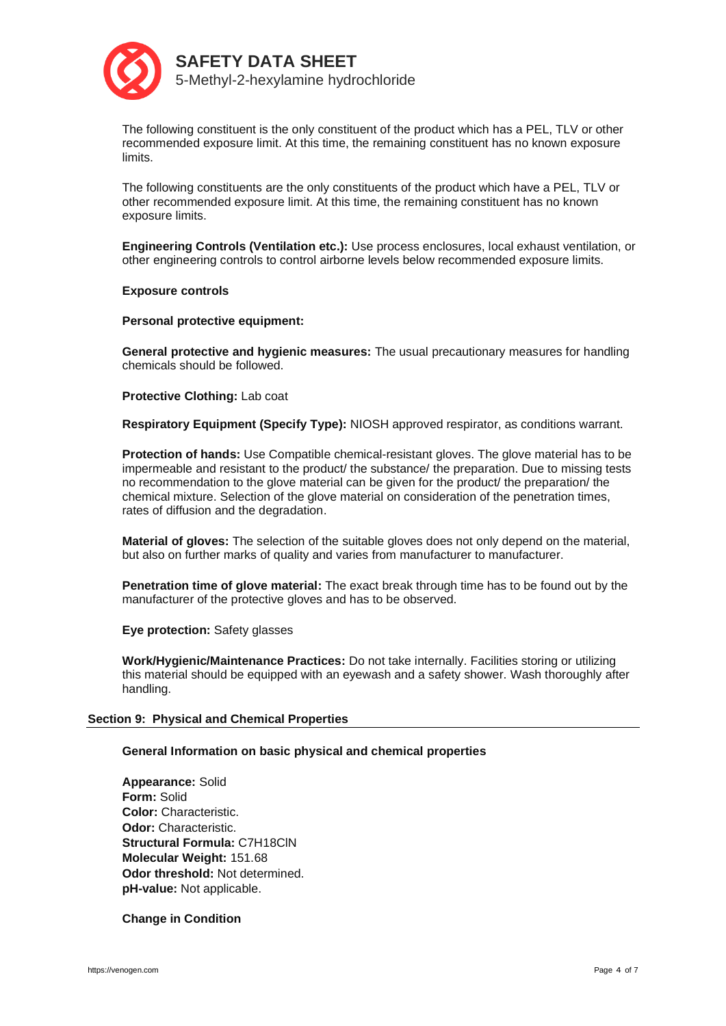

The following constituent is the only constituent of the product which has a PEL, TLV or other recommended exposure limit. At this time, the remaining constituent has no known exposure limits.

The following constituents are the only constituents of the product which have a PEL, TLV or other recommended exposure limit. At this time, the remaining constituent has no known exposure limits.

**Engineering Controls (Ventilation etc.):** Use process enclosures, local exhaust ventilation, or other engineering controls to control airborne levels below recommended exposure limits.

**Exposure controls**

**Personal protective equipment:**

**General protective and hygienic measures:** The usual precautionary measures for handling chemicals should be followed.

**Protective Clothing:** Lab coat

**Respiratory Equipment (Specify Type):** NIOSH approved respirator, as conditions warrant.

**Protection of hands:** Use Compatible chemical-resistant gloves. The glove material has to be impermeable and resistant to the product/ the substance/ the preparation. Due to missing tests no recommendation to the glove material can be given for the product/ the preparation/ the chemical mixture. Selection of the glove material on consideration of the penetration times, rates of diffusion and the degradation.

**Material of gloves:** The selection of the suitable gloves does not only depend on the material, but also on further marks of quality and varies from manufacturer to manufacturer.

**Penetration time of glove material:** The exact break through time has to be found out by the manufacturer of the protective gloves and has to be observed.

**Eye protection:** Safety glasses

**Work/Hygienic/Maintenance Practices:** Do not take internally. Facilities storing or utilizing this material should be equipped with an eyewash and a safety shower. Wash thoroughly after handling.

# **Section 9: Physical and Chemical Properties**

# **General Information on basic physical and chemical properties**

**Appearance:** Solid **Form:** Solid **Color:** Characteristic. **Odor:** Characteristic. **Structural Formula:** C7H18ClN **Molecular Weight:** 151.68 **Odor threshold:** Not determined. **pH-value:** Not applicable.

**Change in Condition**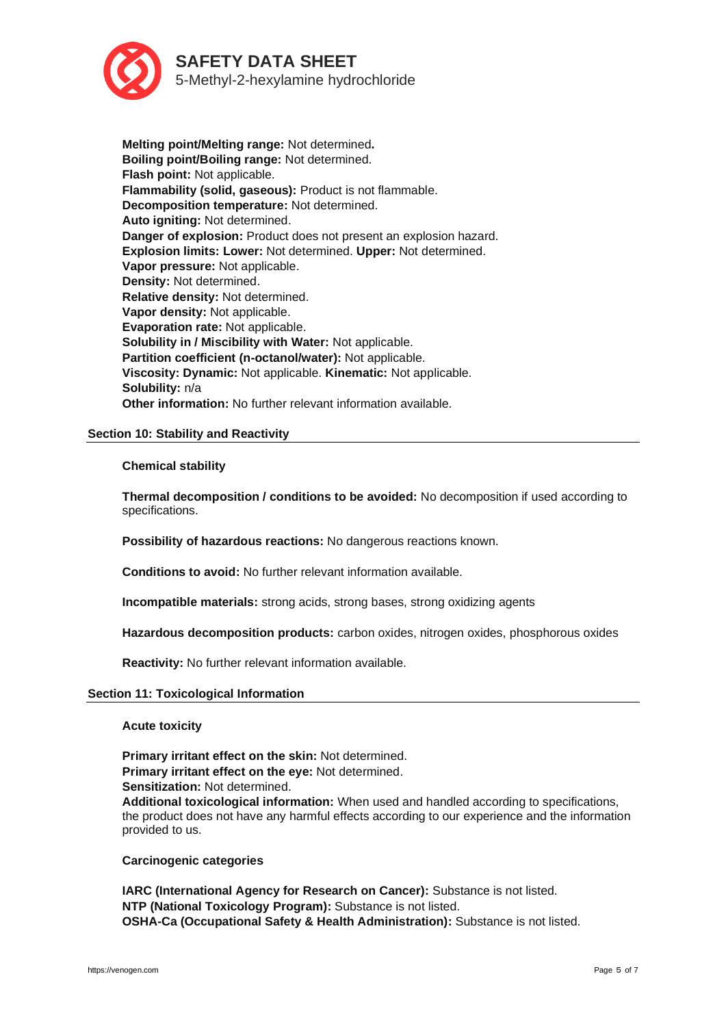

**Melting point/Melting range:** Not determined**. Boiling point/Boiling range:** Not determined. **Flash point:** Not applicable. **Flammability (solid, gaseous):** Product is not flammable. **Decomposition temperature:** Not determined. **Auto igniting:** Not determined. **Danger of explosion:** Product does not present an explosion hazard. **Explosion limits: Lower:** Not determined. **Upper:** Not determined. **Vapor pressure:** Not applicable. **Density:** Not determined. **Relative density:** Not determined. **Vapor density:** Not applicable. **Evaporation rate:** Not applicable. **Solubility in / Miscibility with Water:** Not applicable. **Partition coefficient (n-octanol/water):** Not applicable. **Viscosity: Dynamic:** Not applicable. **Kinematic:** Not applicable. **Solubility:** n/a **Other information:** No further relevant information available.

# **Section 10: Stability and Reactivity**

### **Chemical stability**

**Thermal decomposition / conditions to be avoided:** No decomposition if used according to specifications.

**Possibility of hazardous reactions:** No dangerous reactions known.

**Conditions to avoid:** No further relevant information available.

**Incompatible materials:** strong acids, strong bases, strong oxidizing agents

**Hazardous decomposition products:** carbon oxides, nitrogen oxides, phosphorous oxides

**Reactivity:** No further relevant information available.

#### **Section 11: Toxicological Information**

**Acute toxicity**

**Primary irritant effect on the skin:** Not determined. **Primary irritant effect on the eye:** Not determined. **Sensitization:** Not determined.

**Additional toxicological information:** When used and handled according to specifications, the product does not have any harmful effects according to our experience and the information provided to us.

# **Carcinogenic categories**

**IARC (International Agency for Research on Cancer):** Substance is not listed. **NTP (National Toxicology Program):** Substance is not listed. **OSHA-Ca (Occupational Safety & Health Administration):** Substance is not listed.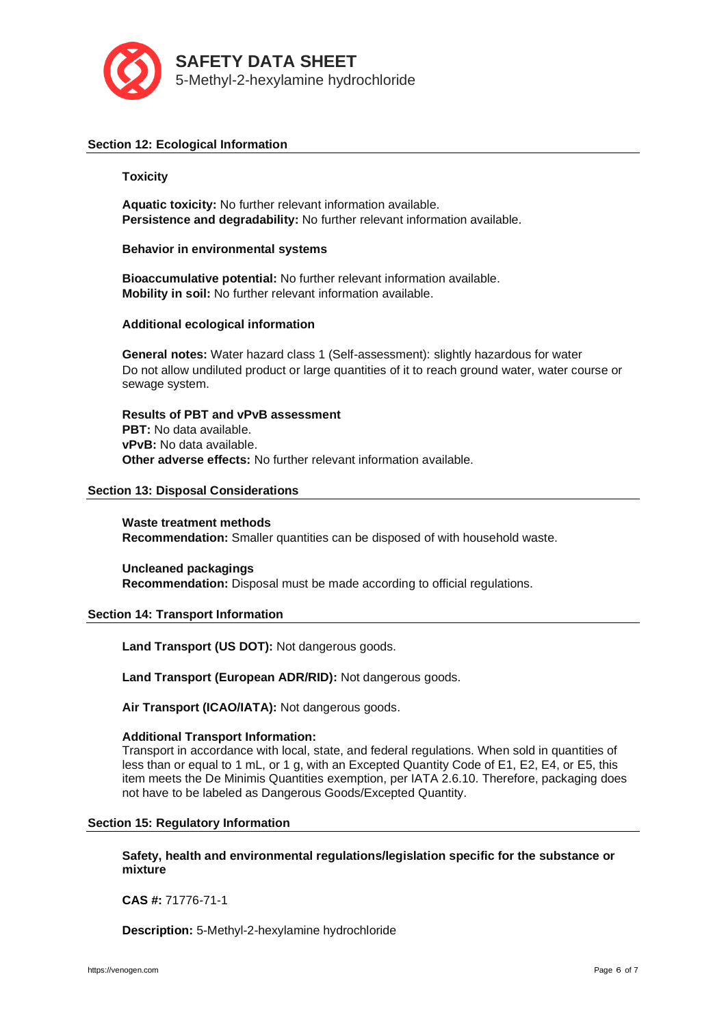

## **Section 12: Ecological Information**

### **Toxicity**

**Aquatic toxicity:** No further relevant information available. **Persistence and degradability:** No further relevant information available.

**Behavior in environmental systems**

**Bioaccumulative potential:** No further relevant information available. **Mobility in soil:** No further relevant information available.

### **Additional ecological information**

**General notes:** Water hazard class 1 (Self-assessment): slightly hazardous for water Do not allow undiluted product or large quantities of it to reach ground water, water course or sewage system.

**Results of PBT and vPvB assessment PBT:** No data available. **vPvB:** No data available. **Other adverse effects:** No further relevant information available.

#### **Section 13: Disposal Considerations**

**Waste treatment methods Recommendation:** Smaller quantities can be disposed of with household waste.

**Uncleaned packagings Recommendation:** Disposal must be made according to official regulations.

# **Section 14: Transport Information**

**Land Transport (US DOT):** Not dangerous goods.

**Land Transport (European ADR/RID):** Not dangerous goods.

**Air Transport (ICAO/IATA):** Not dangerous goods.

### **Additional Transport Information:**

Transport in accordance with local, state, and federal regulations. When sold in quantities of less than or equal to 1 mL, or 1 g, with an Excepted Quantity Code of E1, E2, E4, or E5, this item meets the De Minimis Quantities exemption, per IATA 2.6.10. Therefore, packaging does not have to be labeled as Dangerous Goods/Excepted Quantity.

### **Section 15: Regulatory Information**

**Safety, health and environmental regulations/legislation specific for the substance or mixture**

**CAS #:** 71776-71-1

**Description:** 5-Methyl-2-hexylamine hydrochloride